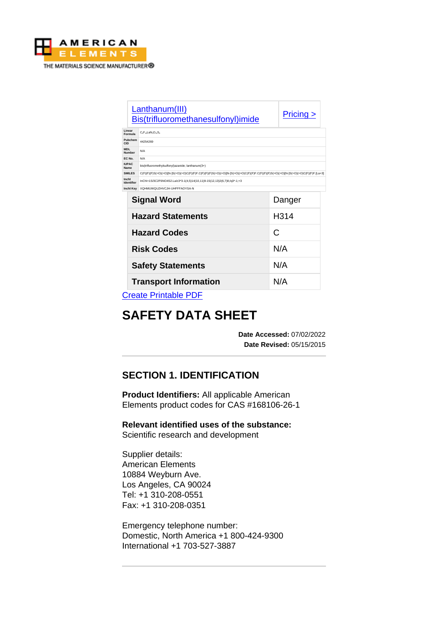

|                      | Lanthanum(III)<br>Bis(trifluoromethanesulfonyl)imide                                                                                          | $Pricing \ge$ |  |
|----------------------|-----------------------------------------------------------------------------------------------------------------------------------------------|---------------|--|
| Linear<br>Formula    | $C_eF_u$ LaN $_1O_vS_e$                                                                                                                       |               |  |
| Pubchem<br>CID       | 44254269                                                                                                                                      |               |  |
| <b>MDL</b><br>Number | N/A                                                                                                                                           |               |  |
| EC No.               | N/A                                                                                                                                           |               |  |
| <b>IUPAC</b><br>Name | bis(trifluoromethylsulfonyl)azanide; lanthanum(3+)                                                                                            |               |  |
| <b>SMILES</b>        | C(F)(F)(F)S(=O)(=O)(N-]S(=O)(=O)(N-]S(=O)(=O)C(F)(F)F.C(F)(F)(F)S(=O)(=O)(N-]S(=O)(=O)(C(F)(F)F.C(F)(F)S(=O)(=O)(N-]S(=O)(=O)(C(F)(F)F.[La+3] |               |  |
| Inchl<br>Identifier  | InChI=1S/3C2F6NO4S2.La/c3*3-1(4,5)14(10,11)9-15(12,13)2(6,7)8;/q3*-1;+3                                                                       |               |  |
| <b>Inchl Key</b>     | XQHMUWQUZHVCJH-UHFFFAOYSA-N                                                                                                                   |               |  |
|                      | <b>Signal Word</b>                                                                                                                            | Danger        |  |
|                      | <b>Hazard Statements</b>                                                                                                                      | H314          |  |
| <b>Hazard Codes</b>  |                                                                                                                                               | C             |  |
| <b>Risk Codes</b>    |                                                                                                                                               | N/A           |  |
|                      | <b>Safety Statements</b>                                                                                                                      | N/A           |  |
|                      | <b>Transport Information</b>                                                                                                                  | N/A           |  |
|                      | <b>September 1995</b>                                                                                                                         |               |  |

[Create Printable PDF](https://www.americanelements.com/printpdf/cas/168106-26-1/sds)

# **SAFETY DATA SHEET**

**Date Accessed:** 07/02/2022 **Date Revised:** 05/15/2015

# **SECTION 1. IDENTIFICATION**

**Product Identifiers:** All applicable American Elements product codes for CAS #168106-26-1

**Relevant identified uses of the substance:**

Scientific research and development

Supplier details: American Elements 10884 Weyburn Ave. Los Angeles, CA 90024 Tel: +1 310-208-0551 Fax: +1 310-208-0351

Emergency telephone number: Domestic, North America +1 800-424-9300 International +1 703-527-3887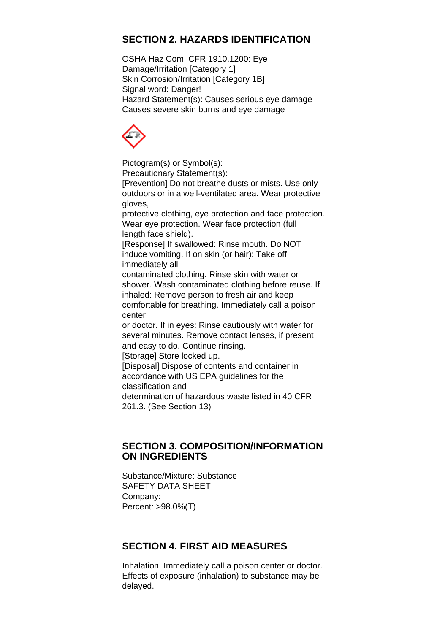# **SECTION 2. HAZARDS IDENTIFICATION**

OSHA Haz Com: CFR 1910.1200: Eye Damage/Irritation [Category 1] Skin Corrosion/Irritation [Category 1B] Signal word: Danger! Hazard Statement(s): Causes serious eye damage Causes severe skin burns and eye damage



Pictogram(s) or Symbol(s): Precautionary Statement(s): [Prevention] Do not breathe dusts or mists. Use only outdoors or in a well-ventilated area. Wear protective gloves, protective clothing, eye protection and face protection. Wear eye protection. Wear face protection (full length face shield). [Response] If swallowed: Rinse mouth. Do NOT induce vomiting. If on skin (or hair): Take off immediately all contaminated clothing. Rinse skin with water or shower. Wash contaminated clothing before reuse. If inhaled: Remove person to fresh air and keep comfortable for breathing. Immediately call a poison center or doctor. If in eyes: Rinse cautiously with water for several minutes. Remove contact lenses, if present and easy to do. Continue rinsing. [Storage] Store locked up. [Disposal] Dispose of contents and container in accordance with US EPA guidelines for the classification and determination of hazardous waste listed in 40 CFR 261.3. (See Section 13)

#### **SECTION 3. COMPOSITION/INFORMATION ON INGREDIENTS**

Substance/Mixture: Substance SAFETY DATA SHEET Company: Percent: >98.0%(T)

# **SECTION 4. FIRST AID MEASURES**

Inhalation: Immediately call a poison center or doctor. Effects of exposure (inhalation) to substance may be delayed.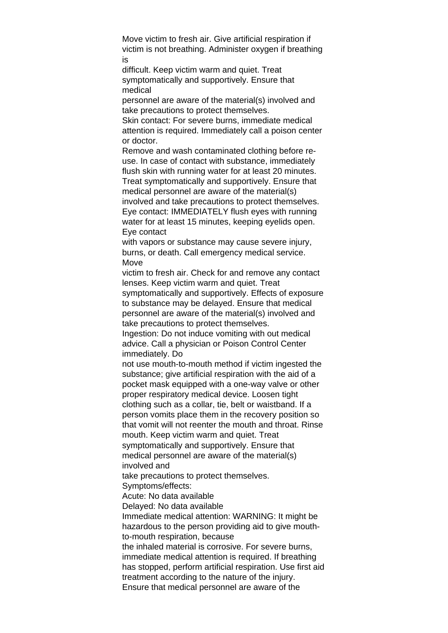Move victim to fresh air. Give artificial respiration if victim is not breathing. Administer oxygen if breathing is

difficult. Keep victim warm and quiet. Treat symptomatically and supportively. Ensure that medical

personnel are aware of the material(s) involved and take precautions to protect themselves.

Skin contact: For severe burns, immediate medical attention is required. Immediately call a poison center or doctor.

Remove and wash contaminated clothing before reuse. In case of contact with substance, immediately flush skin with running water for at least 20 minutes. Treat symptomatically and supportively. Ensure that medical personnel are aware of the material(s) involved and take precautions to protect themselves. Eye contact: IMMEDIATELY flush eyes with running water for at least 15 minutes, keeping eyelids open. Eye contact

with vapors or substance may cause severe injury, burns, or death. Call emergency medical service. **Move** 

victim to fresh air. Check for and remove any contact lenses. Keep victim warm and quiet. Treat symptomatically and supportively. Effects of exposure to substance may be delayed. Ensure that medical personnel are aware of the material(s) involved and

take precautions to protect themselves.

Ingestion: Do not induce vomiting with out medical advice. Call a physician or Poison Control Center immediately. Do

not use mouth-to-mouth method if victim ingested the substance; give artificial respiration with the aid of a pocket mask equipped with a one-way valve or other proper respiratory medical device. Loosen tight clothing such as a collar, tie, belt or waistband. If a person vomits place them in the recovery position so that vomit will not reenter the mouth and throat. Rinse mouth. Keep victim warm and quiet. Treat symptomatically and supportively. Ensure that medical personnel are aware of the material(s) involved and

take precautions to protect themselves.

Symptoms/effects:

Acute: No data available

Delayed: No data available

Immediate medical attention: WARNING: It might be hazardous to the person providing aid to give mouthto-mouth respiration, because

the inhaled material is corrosive. For severe burns, immediate medical attention is required. If breathing has stopped, perform artificial respiration. Use first aid treatment according to the nature of the injury. Ensure that medical personnel are aware of the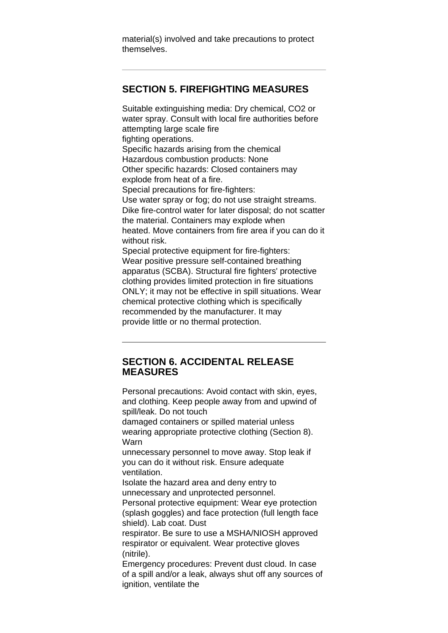material(s) involved and take precautions to protect themselves.

## **SECTION 5. FIREFIGHTING MEASURES**

Suitable extinguishing media: Dry chemical, CO2 or water spray. Consult with local fire authorities before attempting large scale fire fighting operations. Specific hazards arising from the chemical Hazardous combustion products: None Other specific hazards: Closed containers may explode from heat of a fire. Special precautions for fire-fighters: Use water spray or fog; do not use straight streams. Dike fire-control water for later disposal; do not scatter the material. Containers may explode when heated. Move containers from fire area if you can do it without risk. Special protective equipment for fire-fighters: Wear positive pressure self-contained breathing apparatus (SCBA). Structural fire fighters' protective clothing provides limited protection in fire situations ONLY; it may not be effective in spill situations. Wear chemical protective clothing which is specifically recommended by the manufacturer. It may provide little or no thermal protection.

#### **SECTION 6. ACCIDENTAL RELEASE MEASURES**

Personal precautions: Avoid contact with skin, eyes, and clothing. Keep people away from and upwind of spill/leak. Do not touch

damaged containers or spilled material unless wearing appropriate protective clothing (Section 8). Warn

unnecessary personnel to move away. Stop leak if you can do it without risk. Ensure adequate ventilation.

Isolate the hazard area and deny entry to unnecessary and unprotected personnel.

Personal protective equipment: Wear eye protection (splash goggles) and face protection (full length face shield). Lab coat. Dust

respirator. Be sure to use a MSHA/NIOSH approved respirator or equivalent. Wear protective gloves (nitrile).

Emergency procedures: Prevent dust cloud. In case of a spill and/or a leak, always shut off any sources of ignition, ventilate the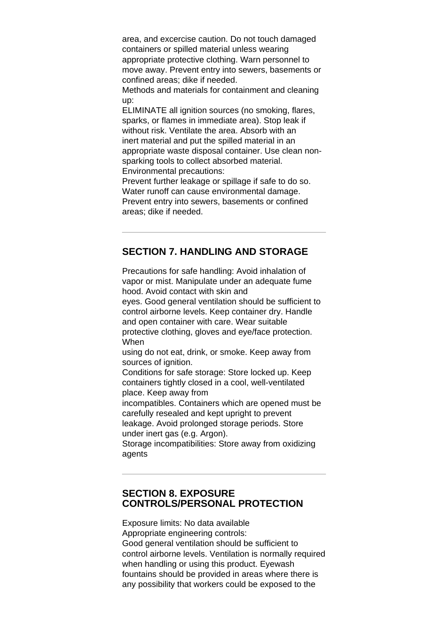area, and excercise caution. Do not touch damaged containers or spilled material unless wearing appropriate protective clothing. Warn personnel to move away. Prevent entry into sewers, basements or confined areas; dike if needed.

Methods and materials for containment and cleaning up:

ELIMINATE all ignition sources (no smoking, flares, sparks, or flames in immediate area). Stop leak if without risk. Ventilate the area. Absorb with an inert material and put the spilled material in an appropriate waste disposal container. Use clean nonsparking tools to collect absorbed material. Environmental precautions:

Prevent further leakage or spillage if safe to do so. Water runoff can cause environmental damage. Prevent entry into sewers, basements or confined areas; dike if needed.

## **SECTION 7. HANDLING AND STORAGE**

Precautions for safe handling: Avoid inhalation of vapor or mist. Manipulate under an adequate fume hood. Avoid contact with skin and

eyes. Good general ventilation should be sufficient to control airborne levels. Keep container dry. Handle and open container with care. Wear suitable protective clothing, gloves and eye/face protection. When

using do not eat, drink, or smoke. Keep away from sources of ignition.

Conditions for safe storage: Store locked up. Keep containers tightly closed in a cool, well-ventilated place. Keep away from

incompatibles. Containers which are opened must be carefully resealed and kept upright to prevent leakage. Avoid prolonged storage periods. Store under inert gas (e.g. Argon).

Storage incompatibilities: Store away from oxidizing agents

## **SECTION 8. EXPOSURE CONTROLS/PERSONAL PROTECTION**

Exposure limits: No data available Appropriate engineering controls: Good general ventilation should be sufficient to control airborne levels. Ventilation is normally required when handling or using this product. Eyewash fountains should be provided in areas where there is any possibility that workers could be exposed to the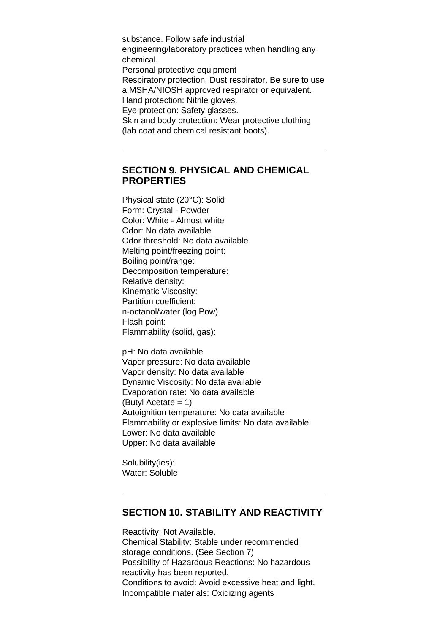substance. Follow safe industrial engineering/laboratory practices when handling any chemical. Personal protective equipment Respiratory protection: Dust respirator. Be sure to use a MSHA/NIOSH approved respirator or equivalent. Hand protection: Nitrile gloves. Eye protection: Safety glasses. Skin and body protection: Wear protective clothing (lab coat and chemical resistant boots).

#### **SECTION 9. PHYSICAL AND CHEMICAL PROPERTIES**

Physical state (20°C): Solid Form: Crystal - Powder Color: White - Almost white Odor: No data available Odor threshold: No data available Melting point/freezing point: Boiling point/range: Decomposition temperature: Relative density: Kinematic Viscosity: Partition coefficient: n-octanol/water (log Pow) Flash point: Flammability (solid, gas):

pH: No data available Vapor pressure: No data available Vapor density: No data available Dynamic Viscosity: No data available Evaporation rate: No data available (Butyl Acetate = 1) Autoignition temperature: No data available Flammability or explosive limits: No data available Lower: No data available Upper: No data available

Solubility(ies): Water: Soluble

# **SECTION 10. STABILITY AND REACTIVITY**

Reactivity: Not Available. Chemical Stability: Stable under recommended storage conditions. (See Section 7) Possibility of Hazardous Reactions: No hazardous reactivity has been reported. Conditions to avoid: Avoid excessive heat and light. Incompatible materials: Oxidizing agents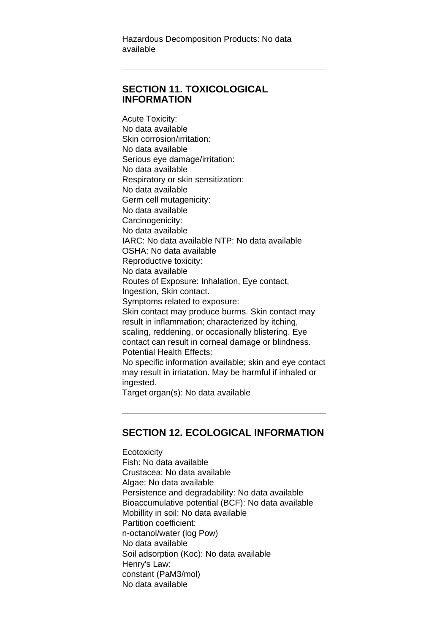Hazardous Decomposition Products: No data available

## **SECTION 11. TOXICOLOGICAL INFORMATION**

Acute Toxicity: No data available Skin corrosion/irritation: No data available Serious eye damage/irritation: No data available Respiratory or skin sensitization: No data available Germ cell mutagenicity: No data available Carcinogenicity: No data available IARC: No data available NTP: No data available OSHA: No data available Reproductive toxicity: No data available Routes of Exposure: Inhalation, Eye contact, Ingestion, Skin contact. Symptoms related to exposure: Skin contact may produce burrns. Skin contact may result in inflammation; characterized by itching, scaling, reddening, or occasionally blistering. Eye contact can result in corneal damage or blindness. Potential Health Effects: No specific information available; skin and eye contact may result in irriatation. May be harmful if inhaled or ingested. Target organ(s): No data available

## **SECTION 12. ECOLOGICAL INFORMATION**

**Ecotoxicity** Fish: No data available Crustacea: No data available Algae: No data available Persistence and degradability: No data available Bioaccumulative potential (BCF): No data available Mobillity in soil: No data available Partition coefficient: n-octanol/water (log Pow) No data available Soil adsorption (Koc): No data available Henry's Law: constant (PaM3/mol) No data available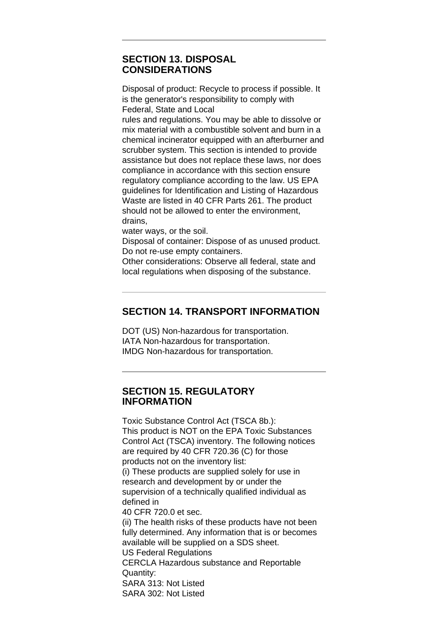#### **SECTION 13. DISPOSAL CONSIDERATIONS**

Disposal of product: Recycle to process if possible. It is the generator's responsibility to comply with Federal, State and Local rules and regulations. You may be able to dissolve or mix material with a combustible solvent and burn in a chemical incinerator equipped with an afterburner and scrubber system. This section is intended to provide assistance but does not replace these laws, nor does compliance in accordance with this section ensure regulatory compliance according to the law. US EPA guidelines for Identification and Listing of Hazardous Waste are listed in 40 CFR Parts 261. The product should not be allowed to enter the environment, drains,

water ways, or the soil.

Disposal of container: Dispose of as unused product. Do not re-use empty containers.

Other considerations: Observe all federal, state and local regulations when disposing of the substance.

# **SECTION 14. TRANSPORT INFORMATION**

DOT (US) Non-hazardous for transportation. IATA Non-hazardous for transportation. IMDG Non-hazardous for transportation.

#### **SECTION 15. REGULATORY INFORMATION**

Toxic Substance Control Act (TSCA 8b.): This product is NOT on the EPA Toxic Substances Control Act (TSCA) inventory. The following notices are required by 40 CFR 720.36 (C) for those products not on the inventory list: (i) These products are supplied solely for use in research and development by or under the supervision of a technically qualified individual as defined in 40 CFR 720.0 et sec. (ii) The health risks of these products have not been fully determined. Any information that is or becomes available will be supplied on a SDS sheet. US Federal Regulations CERCLA Hazardous substance and Reportable Quantity: SARA 313: Not Listed SARA 302: Not Listed